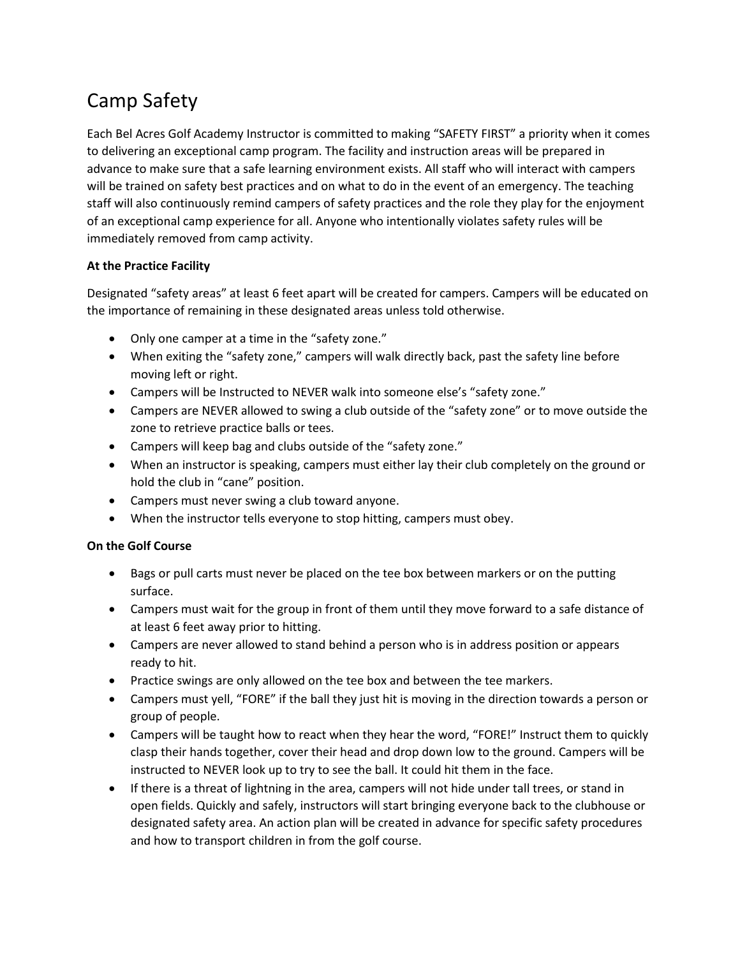## Camp Safety

Each Bel Acres Golf Academy Instructor is committed to making "SAFETY FIRST" a priority when it comes to delivering an exceptional camp program. The facility and instruction areas will be prepared in advance to make sure that a safe learning environment exists. All staff who will interact with campers will be trained on safety best practices and on what to do in the event of an emergency. The teaching staff will also continuously remind campers of safety practices and the role they play for the enjoyment of an exceptional camp experience for all. Anyone who intentionally violates safety rules will be immediately removed from camp activity.

## **At the Practice Facility**

Designated "safety areas" at least 6 feet apart will be created for campers. Campers will be educated on the importance of remaining in these designated areas unless told otherwise.

- Only one camper at a time in the "safety zone."
- When exiting the "safety zone," campers will walk directly back, past the safety line before moving left or right.
- Campers will be Instructed to NEVER walk into someone else's "safety zone."
- Campers are NEVER allowed to swing a club outside of the "safety zone" or to move outside the zone to retrieve practice balls or tees.
- Campers will keep bag and clubs outside of the "safety zone."
- When an instructor is speaking, campers must either lay their club completely on the ground or hold the club in "cane" position.
- Campers must never swing a club toward anyone.
- When the instructor tells everyone to stop hitting, campers must obey.

## **On the Golf Course**

- Bags or pull carts must never be placed on the tee box between markers or on the putting surface.
- Campers must wait for the group in front of them until they move forward to a safe distance of at least 6 feet away prior to hitting.
- Campers are never allowed to stand behind a person who is in address position or appears ready to hit.
- Practice swings are only allowed on the tee box and between the tee markers.
- Campers must yell, "FORE" if the ball they just hit is moving in the direction towards a person or group of people.
- Campers will be taught how to react when they hear the word, "FORE!" Instruct them to quickly clasp their hands together, cover their head and drop down low to the ground. Campers will be instructed to NEVER look up to try to see the ball. It could hit them in the face.
- If there is a threat of lightning in the area, campers will not hide under tall trees, or stand in open fields. Quickly and safely, instructors will start bringing everyone back to the clubhouse or designated safety area. An action plan will be created in advance for specific safety procedures and how to transport children in from the golf course.